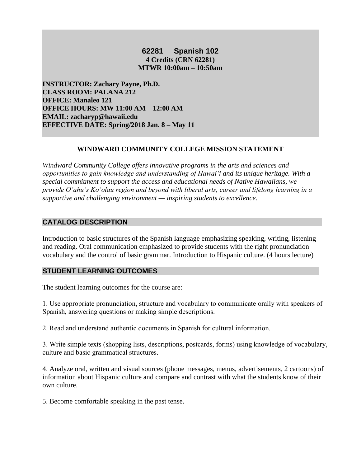# **62281 Spanish 102 4 Credits (CRN 62281) MTWR 10:00am – 10:50am**

**INSTRUCTOR: Zachary Payne, Ph.D. CLASS ROOM: PALANA 212 OFFICE: Manaleo 121 OFFICE HOURS: MW 11:00 AM – 12:00 AM EMAIL: zacharyp@hawaii.edu EFFECTIVE DATE: Spring/2018 Jan. 8 – May 11**

## **WINDWARD COMMUNITY COLLEGE MISSION STATEMENT**

*Windward Community College offers innovative programs in the arts and sciences and opportunities to gain knowledge and understanding of Hawai'i and its unique heritage. With a special commitment to support the access and educational needs of Native Hawaiians, we provide O'ahu's Ko'olau region and beyond with liberal arts, career and lifelong learning in a supportive and challenging environment — inspiring students to excellence.*

# **CATALOG DESCRIPTION**

Introduction to basic structures of the Spanish language emphasizing speaking, writing, listening and reading. Oral communication emphasized to provide students with the right pronunciation vocabulary and the control of basic grammar. Introduction to Hispanic culture. (4 hours lecture)

## **STUDENT LEARNING OUTCOMES**

The student learning outcomes for the course are:

1. Use appropriate pronunciation, structure and vocabulary to communicate orally with speakers of Spanish, answering questions or making simple descriptions.

2. Read and understand authentic documents in Spanish for cultural information.

3. Write simple texts (shopping lists, descriptions, postcards, forms) using knowledge of vocabulary, culture and basic grammatical structures.

4. Analyze oral, written and visual sources (phone messages, menus, advertisements, 2 cartoons) of information about Hispanic culture and compare and contrast with what the students know of their own culture.

5. Become comfortable speaking in the past tense.